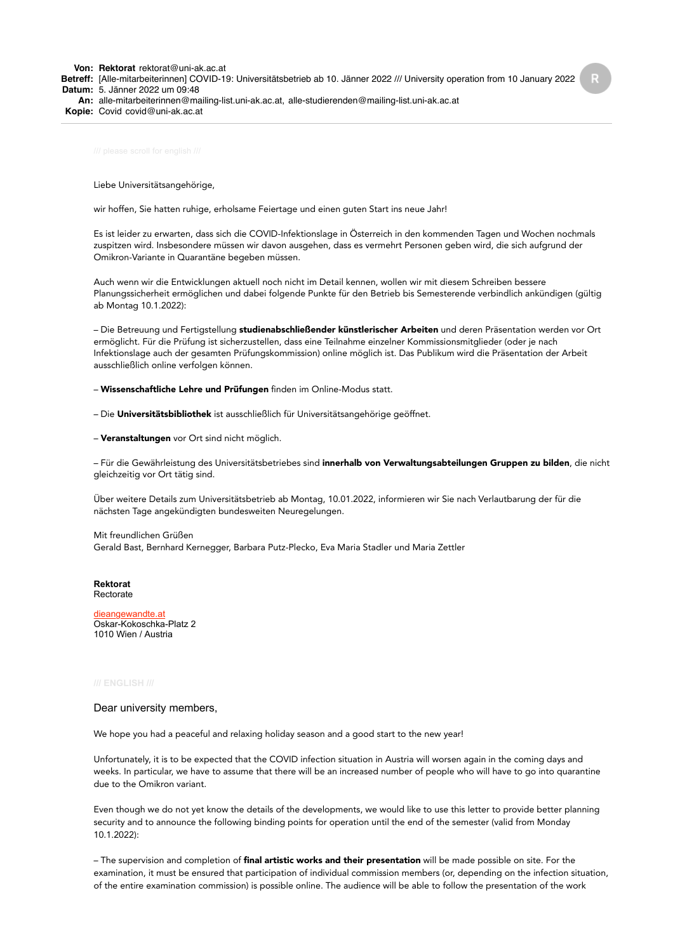**Von: Rektorat** rektorat@uni-ak.ac.at **Betreff:** [Alle-mitarbeiterinnen] COVID-19: Universitätsbetrieb ab 10. Jänner 2022 /// University operation from 10 January 2022 **Datum:** 5. Jänner 2022 um 09:48 **An:** alle-mitarbeiterinnen@mailing-list.uni-ak.ac.at, alle-studierenden@mailing-list.uni-ak.ac.at **Kopie:** Covid covid@uni-ak.ac.at

Liebe Universitätsangehörige,

wir hoffen, Sie hatten ruhige, erholsame Feiertage und einen guten Start ins neue Jahr!

Es ist leider zu erwarten, dass sich die COVID-Infektionslage in Österreich in den kommenden Tagen und Wochen nochmals zuspitzen wird. Insbesondere müssen wir davon ausgehen, dass es vermehrt Personen geben wird, die sich aufgrund der Omikron-Variante in Quarantäne begeben müssen.

Auch wenn wir die Entwicklungen aktuell noch nicht im Detail kennen, wollen wir mit diesem Schreiben bessere Planungssicherheit ermöglichen und dabei folgende Punkte für den Betrieb bis Semesterende verbindlich ankündigen (gültig ab Montag 10.1.2022):

– Die Betreuung und Fertigstellung studienabschließender künstlerischer Arbeiten und deren Präsentation werden vor Ort ermöglicht. Für die Prüfung ist sicherzustellen, dass eine Teilnahme einzelner Kommissionsmitglieder (oder je nach Infektionslage auch der gesamten Prüfungskommission) online möglich ist. Das Publikum wird die Präsentation der Arbeit ausschließlich online verfolgen können.

– Wissenschaftliche Lehre und Prüfungen finden im Online-Modus statt.

– Die Universitätsbibliothek ist ausschließlich für Universitätsangehörige geöffnet.

– Veranstaltungen vor Ort sind nicht möglich.

– Für die Gewährleistung des Universitätsbetriebes sind innerhalb von Verwaltungsabteilungen Gruppen zu bilden, die nicht gleichzeitig vor Ort tätig sind.

Über weitere Details zum Universitätsbetrieb ab Montag, 10.01.2022, informieren wir Sie nach Verlautbarung der für die nächsten Tage angekündigten bundesweiten Neuregelungen.

Mit freundlichen Grüßen Gerald Bast, Bernhard Kernegger, Barbara Putz-Plecko, Eva Maria Stadler und Maria Zettler

**Rektorat** Rectorate

[dieangewandte.at](https://www.dieangewandte.at/) Oskar-Kokoschka-Platz 2 1010 Wien / Austria

## Dear university members,

We hope you had a peaceful and relaxing holiday season and a good start to the new year!

Unfortunately, it is to be expected that the COVID infection situation in Austria will worsen again in the coming days and weeks. In particular, we have to assume that there will be an increased number of people who will have to go into quarantine due to the Omikron variant.

Even though we do not yet know the details of the developments, we would like to use this letter to provide better planning security and to announce the following binding points for operation until the end of the semester (valid from Monday 10.1.2022):

– The supervision and completion of final artistic works and their presentation will be made possible on site. For the examination, it must be ensured that participation of individual commission members (or, depending on the infection situation, of the entire examination commission) is possible online. The audience will be able to follow the presentation of the work